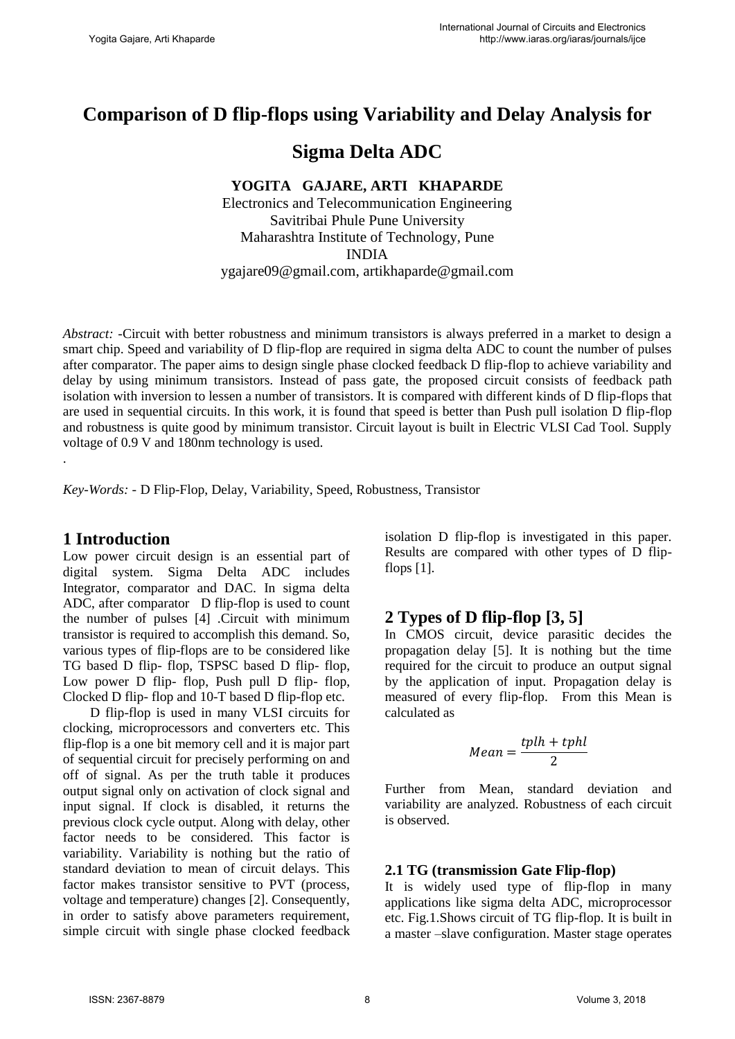# **Comparison of D flip-flops using Variability and Delay Analysis for**

# **Sigma Delta ADC**

### **YOGITA GAJARE, ARTI KHAPARDE**

Electronics and Telecommunication Engineering Savitribai Phule Pune University Maharashtra Institute of Technology, Pune INDIA ygajare09@gmail.com, artikhaparde@gmail.com

*Abstract: -*Circuit with better robustness and minimum transistors is always preferred in a market to design a smart chip. Speed and variability of D flip-flop are required in sigma delta ADC to count the number of pulses after comparator. The paper aims to design single phase clocked feedback D flip-flop to achieve variability and delay by using minimum transistors. Instead of pass gate, the proposed circuit consists of feedback path isolation with inversion to lessen a number of transistors. It is compared with different kinds of D flip-flops that are used in sequential circuits. In this work, it is found that speed is better than Push pull isolation D flip-flop and robustness is quite good by minimum transistor. Circuit layout is built in Electric VLSI Cad Tool. Supply voltage of 0.9 V and 180nm technology is used.

*Key-Words: -* D Flip-Flop, Delay, Variability, Speed, Robustness, Transistor

### **1 Introduction**

.

Low power circuit design is an essential part of digital system. Sigma Delta ADC includes Integrator, comparator and DAC. In sigma delta ADC, after comparator D flip-flop is used to count the number of pulses [4] .Circuit with minimum transistor is required to accomplish this demand. So, various types of flip-flops are to be considered like TG based D flip- flop, TSPSC based D flip- flop, Low power D flip- flop, Push pull D flip- flop, Clocked D flip- flop and 10-T based D flip-flop etc.

 D flip-flop is used in many VLSI circuits for clocking, microprocessors and converters etc. This flip-flop is a one bit memory cell and it is major part of sequential circuit for precisely performing on and off of signal. As per the truth table it produces output signal only on activation of clock signal and input signal. If clock is disabled, it returns the previous clock cycle output. Along with delay, other factor needs to be considered. This factor is variability. Variability is nothing but the ratio of standard deviation to mean of circuit delays. This factor makes transistor sensitive to PVT (process, voltage and temperature) changes [2]. Consequently, in order to satisfy above parameters requirement, simple circuit with single phase clocked feedback isolation D flip-flop is investigated in this paper. Results are compared with other types of D flipflops  $[1]$ .

# **2 Types of D flip-flop [3, 5]**

In CMOS circuit, device parasitic decides the propagation delay [5]. It is nothing but the time required for the circuit to produce an output signal by the application of input. Propagation delay is measured of every flip-flop. From this Mean is calculated as

$$
Mean = \frac{tplh + tphl}{2}
$$

Further from Mean, standard deviation and variability are analyzed. Robustness of each circuit is observed.

### **2.1 TG (transmission Gate Flip-flop)**

It is widely used type of flip-flop in many applications like sigma delta ADC, microprocessor etc. Fig.1.Shows circuit of TG flip-flop. It is built in a master –slave configuration. Master stage operates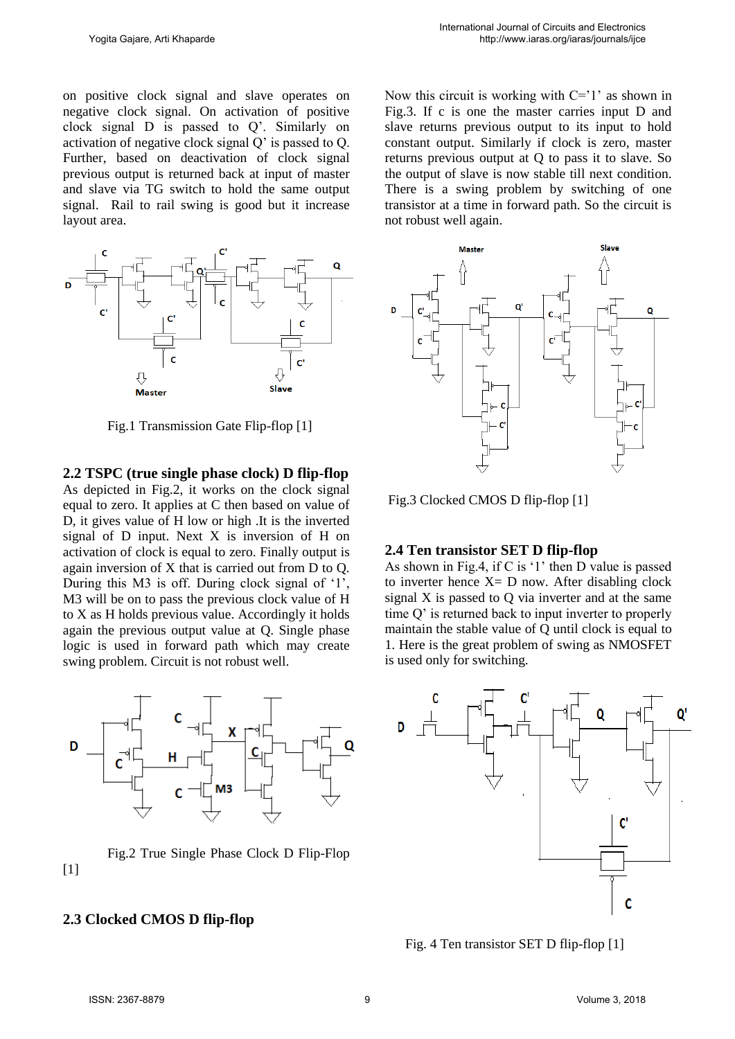on positive clock signal and slave operates on negative clock signal. On activation of positive clock signal D is passed to Q'. Similarly on activation of negative clock signal Q' is passed to Q. Further, based on deactivation of clock signal previous output is returned back at input of master and slave via TG switch to hold the same output signal. Rail to rail swing is good but it increase layout area.



Fig.1 Transmission Gate Flip-flop [1]

**2.2 TSPC (true single phase clock) D flip-flop**

As depicted in Fig.2, it works on the clock signal equal to zero. It applies at C then based on value of D, it gives value of H low or high .It is the inverted signal of D input. Next X is inversion of H on activation of clock is equal to zero. Finally output is again inversion of X that is carried out from D to Q. During this M3 is off. During clock signal of '1', M3 will be on to pass the previous clock value of H to X as H holds previous value. Accordingly it holds again the previous output value at Q. Single phase logic is used in forward path which may create swing problem. Circuit is not robust well.



Fig.2 True Single Phase Clock D Flip-Flop [1]

#### **2.3 Clocked CMOS D flip-flop**

Now this circuit is working with  $C=1'$  as shown in Fig.3. If c is one the master carries input D and slave returns previous output to its input to hold constant output. Similarly if clock is zero, master returns previous output at Q to pass it to slave. So the output of slave is now stable till next condition. There is a swing problem by switching of one transistor at a time in forward path. So the circuit is not robust well again.



Fig.3 Clocked CMOS D flip-flop [1]

#### **2.4 Ten transistor SET D flip-flop**

As shown in Fig.4, if C is '1' then D value is passed to inverter hence  $X = D$  now. After disabling clock signal X is passed to Q via inverter and at the same time Q' is returned back to input inverter to properly maintain the stable value of Q until clock is equal to 1. Here is the great problem of swing as NMOSFET is used only for switching.



Fig. 4 Ten transistor SET D flip-flop [1]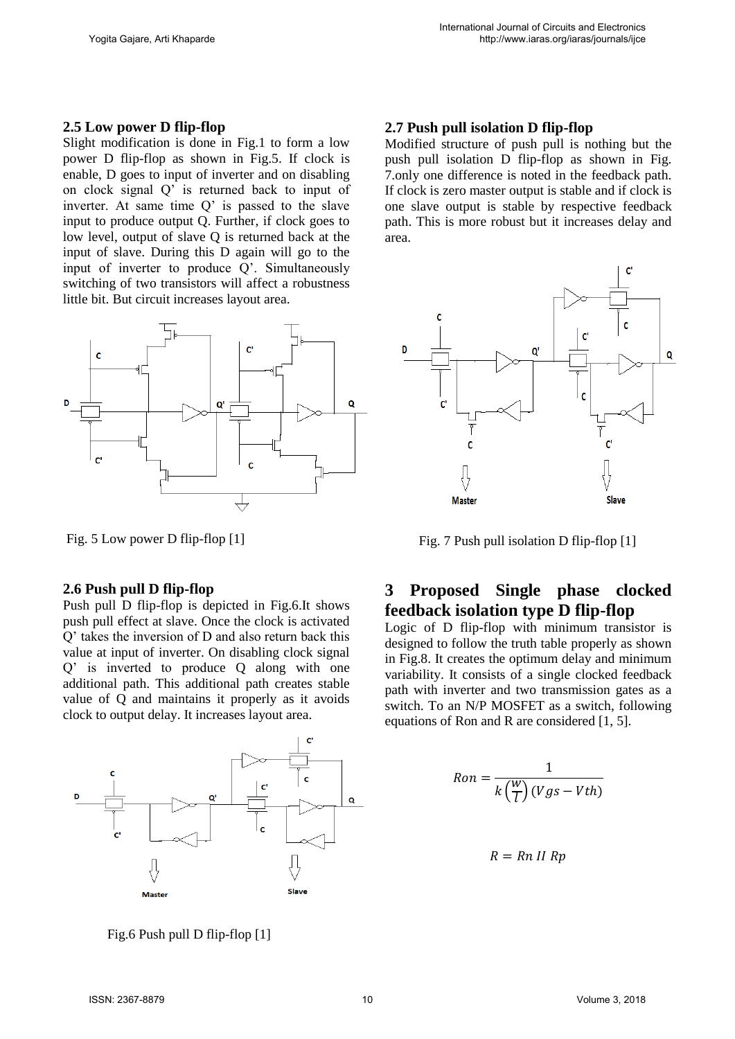#### **2.5 Low power D flip-flop**

Slight modification is done in Fig.1 to form a low power D flip-flop as shown in Fig.5. If clock is enable, D goes to input of inverter and on disabling on clock signal Q' is returned back to input of inverter. At same time Q' is passed to the slave input to produce output Q. Further, if clock goes to low level, output of slave Q is returned back at the input of slave. During this D again will go to the input of inverter to produce Q'. Simultaneously switching of two transistors will affect a robustness little bit. But circuit increases layout area.



Fig. 5 Low power D flip-flop [1]

### **2.6 Push pull D flip-flop**

Push pull D flip-flop is depicted in Fig.6.It shows push pull effect at slave. Once the clock is activated Q' takes the inversion of D and also return back this value at input of inverter. On disabling clock signal Q' is inverted to produce Q along with one additional path. This additional path creates stable value of Q and maintains it properly as it avoids clock to output delay. It increases layout area.



Fig.6 Push pull D flip-flop [1]

## **2.7 Push pull isolation D flip-flop**

Modified structure of push pull is nothing but the push pull isolation D flip-flop as shown in Fig. 7.only one difference is noted in the feedback path. If clock is zero master output is stable and if clock is one slave output is stable by respective feedback path. This is more robust but it increases delay and area.



Fig. 7 Push pull isolation D flip-flop [1]

# **3 Proposed Single phase clocked feedback isolation type D flip-flop**

Logic of D flip-flop with minimum transistor is designed to follow the truth table properly as shown in Fig.8. It creates the optimum delay and minimum variability. It consists of a single clocked feedback path with inverter and two transmission gates as a switch. To an N/P MOSFET as a switch, following equations of Ron and R are considered [1, 5].

$$
Ron = \frac{1}{k\left(\frac{W}{l}\right)(Vgs - Vth)}
$$

$$
R = Rn II Rp
$$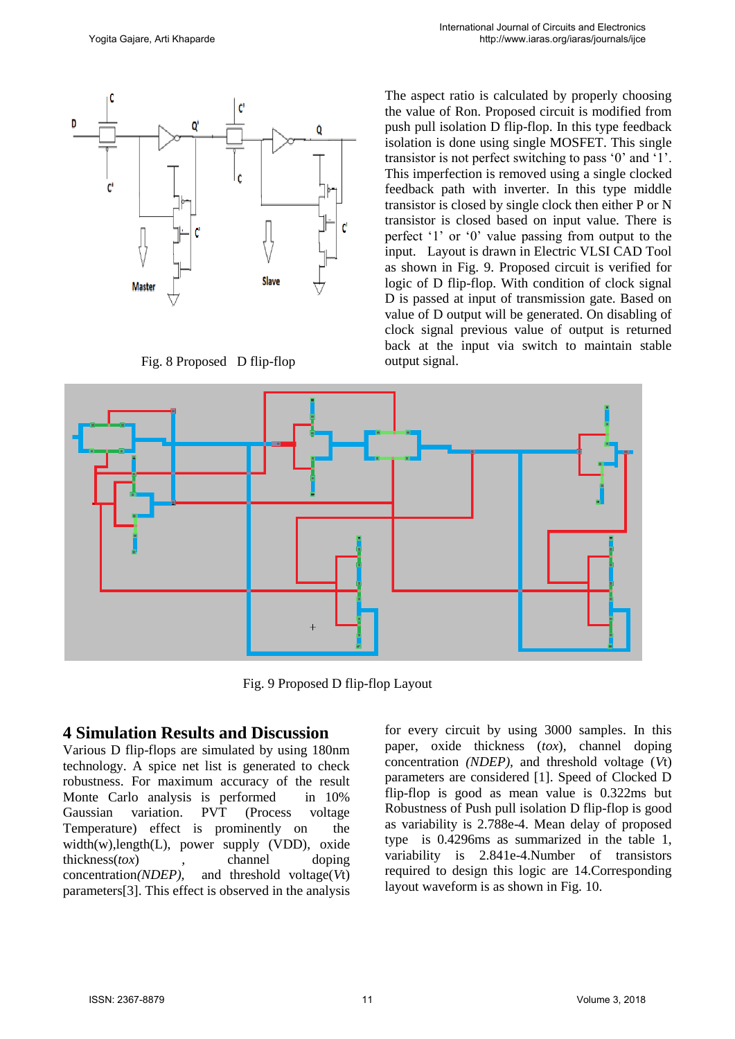

Fig. 8 Proposed D flip-flop

The aspect ratio is calculated by properly choosing the value of Ron. Proposed circuit is modified from push pull isolation D flip-flop. In this type feedback isolation is done using single MOSFET. This single transistor is not perfect switching to pass '0' and '1'. This imperfection is removed using a single clocked feedback path with inverter. In this type middle transistor is closed by single clock then either P or N transistor is closed based on input value. There is perfect '1' or '0' value passing from output to the input. Layout is drawn in Electric VLSI CAD Tool as shown in Fig. 9. Proposed circuit is verified for logic of D flip-flop. With condition of clock signal D is passed at input of transmission gate. Based on value of D output will be generated. On disabling of clock signal previous value of output is returned back at the input via switch to maintain stable output signal.



Fig. 9 Proposed D flip-flop Layout

# **4 Simulation Results and Discussion**

Various D flip-flops are simulated by using 180nm technology. A spice net list is generated to check robustness. For maximum accuracy of the result Monte Carlo analysis is performed in 10% Gaussian variation. PVT (Process voltage Temperature) effect is prominently on the width(w),length(L), power supply (VDD), oxide thickness(*tox*) *,* channel doping concentration*(NDEP),* and threshold voltage(*V*t) parameters[3]. This effect is observed in the analysis for every circuit by using 3000 samples. In this paper, oxide thickness (*tox*)*,* channel doping concentration *(NDEP),* and threshold voltage (*V*t) parameters are considered [1]. Speed of Clocked D flip-flop is good as mean value is 0.322ms but Robustness of Push pull isolation D flip-flop is good as variability is 2.788e-4. Mean delay of proposed type is 0.4296ms as summarized in the table 1, variability is 2.841e-4.Number of transistors required to design this logic are 14.Corresponding layout waveform is as shown in Fig. 10.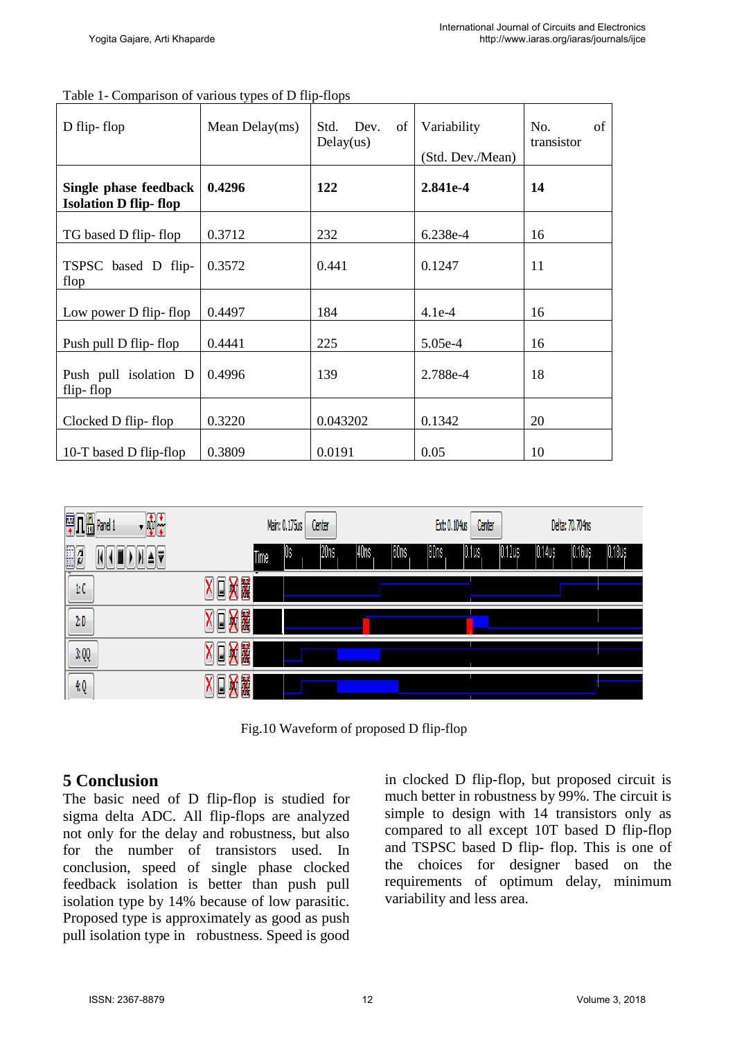| D flip-flop                                           | Mean Delay $(ms)$ | Std. Dev.<br>of 1<br>Delay(us) | Variability<br>(Std. Dev./Mean) | of<br>No.<br>transistor |
|-------------------------------------------------------|-------------------|--------------------------------|---------------------------------|-------------------------|
| Single phase feedback<br><b>Isolation D flip-flop</b> | 0.4296            | 122                            | 2.841e-4                        | 14                      |
| TG based D flip-flop                                  | 0.3712            | 232                            | 6.238e-4                        | 16                      |
| TSPSC based D flip-<br>flop                           | 0.3572            | 0.441                          | 0.1247                          | 11                      |
| Low power D flip-flop                                 | 0.4497            | 184                            | $4.1e-4$                        | 16                      |
| Push pull D flip-flop                                 | 0.4441            | 225                            | $5.05e-4$                       | 16                      |
| Push pull isolation D<br>flip-flop                    | 0.4996            | 139                            | 2.788e-4                        | 18                      |
| Clocked D flip-flop                                   | 0.3220            | 0.043202                       | 0.1342                          | 20                      |
| 10-T based D flip-flop                                | 0.3809            | 0.0191                         | 0.05                            | 10                      |

| Table 1- Comparison of various types of D flip-flops |  |  |  |  |
|------------------------------------------------------|--|--|--|--|



Fig.10 Waveform of proposed D flip-flop

# **5 Conclusion**

The basic need of D flip-flop is studied for sigma delta ADC. All flip-flops are analyzed not only for the delay and robustness, but also for the number of transistors used. In conclusion, speed of single phase clocked feedback isolation is better than push pull isolation type by 14% because of low parasitic. Proposed type is approximately as good as push pull isolation type in robustness. Speed is good in clocked D flip-flop, but proposed circuit is much better in robustness by 99%. The circuit is simple to design with 14 transistors only as compared to all except 10T based D flip-flop and TSPSC based D flip- flop. This is one of the choices for designer based on the requirements of optimum delay, minimum variability and less area.